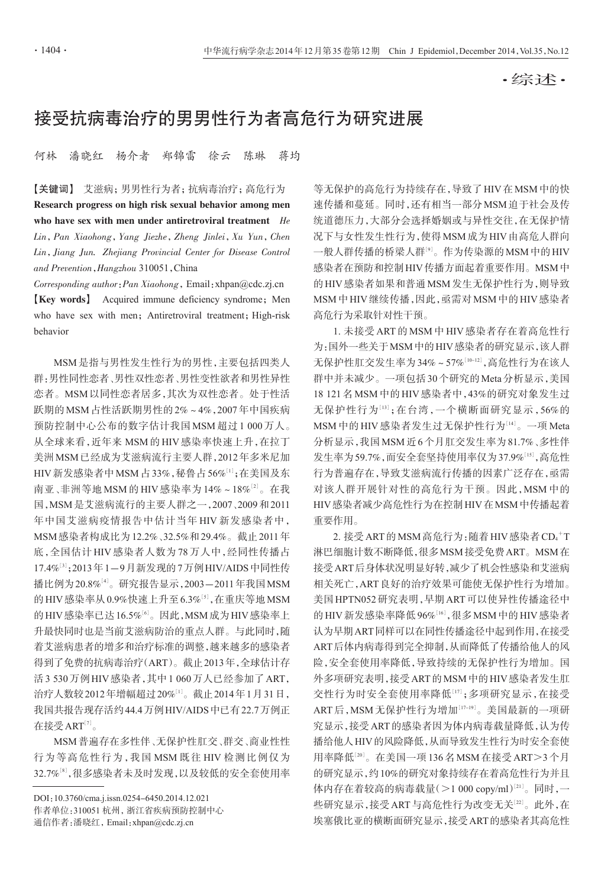·综述·

## 接受抗病毒治疗的男男性行为者高危行为研究进展

何林 潘晓红 杨介者 郑锦雷 徐云 陈琳 蒋均

【关键词】 艾滋病;男男性行为者;抗病毒治疗;高危行为 Research progress on high risk sexual behavior among men who have sex with men under antiretroviral treatment He Lin,Pan Xiaohong,Yang Jiezhe,Zheng Jinlei,Xu Yun,Chen Lin,Jiang Jun. Zhejiang Provincial Center for Disease Control and Prevention,Hangzhou 310051,China

Corresponding author:Pan Xiaohong,Email:xhpan@cdc.zj.cn **[Key words]** Acquired immune deficiency syndrome; Men who have sex with men; Antiretroviral treatment; High-risk behavior

MSM是指与男性发生性行为的男性,主要包括四类人 群:男性同性恋者、男性双性恋者、男性变性欲者和男性异性 恋者。MSM以同性恋者居多,其次为双性恋者。处于性活 跃期的MSM占性活跃期男性的2%~4%,2007年中国疾病 预防控制中心公布的数字估计我国 MSM 超过 1 000 万人。 从全球来看,近年来 MSM 的 HIV 感染率快速上升,在拉丁 美洲MSM已经成为艾滋病流行主要人群,2012年多米尼加 HIV 新发感染者中 MSM 占 33% , 秘鲁占 56%[1]; 在美国及东 南亚 、非洲等地 MSM 的 HIV 感染率为 14% ~ 18%[2]。 在我 国,MSM是艾滋病流行的主要人群之一,2007、2009和2011 年中国艾滋病疫情报告中估计当年 HIV 新发感染者中, MSM感染者构成比为12.2%、32.5%和29.4%。截止2011年 底,全国估计 HIV 感染者人数为 78 万人中,经同性传播占 17.4%[3];2013年1—9月新发现的7万例HIV/AIDS中同性传 播比例为20.8%'<sup>4」</sup>。研究报告显示,2003—2011年我国MSM 的 HIV 感染率从 0.9%快速上升至 6.3%[5], 在重庆等地 MSM 的HIV感染率已达16.5%'<sup>6」</sup>。因此,MSM成为HIV感染率上 升最快同时也是当前艾滋病防治的重点人群。与此同时,随 着艾滋病患者的增多和治疗标准的调整,越来越多的感染者 得到了免费的抗病毒治疗(ART)。截止2013年,全球估计存 活3 530万例HIV感染者,其中1 060万人已经参加了ART, 治疗人数较2012年增幅超过20%[<sup>1</sup>] 。截止2014年1月31日, 我国共报告现存活约44.4万例HIV/AIDS中已有22.7万例正 在接受 ART $^{\left[7\right]}$ 。

MSM普遍存在多性伴、无保护性肛交、群交、商业性性 行为等高危性行为,我国 MSM 既往 HIV 检测比例仅为 32.7%[8],很多感染者未及时发现,以及较低的安全套使用率

DOI:10.3760/cma.j.issn.0254-6450.2014.12.021 作者单位:310051 杭州,浙江省疾病预防控制中心 通信作者:潘晓红,Email:xhpan@cdc.zj.cn

等无保护的高危行为持续存在,导致了HIV在MSM中的快 速传播和蔓延。同时,还有相当一部分MSM迫于社会及传 统道德压力,大部分会选择婚姻或与异性交往,在无保护情 况下与女性发生性行为,使得MSM成为HIV由高危人群向 一般人群传播的桥梁人群'<sup>9'</sup>。作为传染源的MSM中的HIV 感染者在预防和控制HIV传播方面起着重要作用。MSM中 的HIV感染者如果和普通MSM发生无保护性行为,则导致 MSM中HIV继续传播,因此,亟需对MSM中的HIV感染者 高危行为采取针对性干预。

1. 未接受 ART 的 MSM 中 HIV 感染者存在着高危性行 为:国外一些关于MSM中的HIV感染者的研究显示,该人群 无保护性肛交发生率为34%~57%[<sup>10</sup>-12] ,高危性行为在该人 群中并未减少。一项包括30个研究的Meta分析显示,美国 18 121 名 MSM 中的 HIV 感染者中,43%的研究对象发生过 无保护性行为[<sup>13</sup>];在台湾,一个横断面研究显示,56%的 MSM 中的 HIV 感染者发生过无保护性行为''<sup>4」</sup>。一项 Meta 分析显示,我国MSM近6个月肛交发生率为81.7%、多性伴 发生率为59.7%,而安全套坚持使用率仅为37.9%[15],高危性 行为普遍存在,导致艾滋病流行传播的因素广泛存在,亟需 对该人群开展针对性的高危行为干预。因此,MSM 中的 HIV感染者减少高危性行为在控制HIV在MSM中传播起着 重要作用。

2. 接受 ART 的 MSM 高危行为 : 随着 HIV 感染者 CD4 + T 淋巴细胞计数不断降低,很多MSM接受免费ART。MSM在 接受ART后身体状况明显好转,减少了机会性感染和艾滋病 相关死亡,ART良好的治疗效果可能使无保护性行为增加。 美国HPTN052研究表明,早期ART可以使异性传播途径中 的 HIV 新发感染率降低 96%[16], 很多 MSM 中的 HIV 感染者 认为早期ART同样可以在同性传播途径中起到作用,在接受 ART后体内病毒得到完全抑制,从而降低了传播给他人的风 险,安全套使用率降低,导致持续的无保护性行为增加。国 外多项研究表明,接受ART的MSM中的HIV感染者发生肛 交性行为时安全套使用率降低[<sup>17</sup>] ;多项研究显示,在接受 ART 后, MSM 无保护性行为增加[17-19]。美国最新的一项研 究显示,接受ART的感染者因为体内病毒载量降低,认为传 播给他人HIV的风险降低,从而导致发生性行为时安全套使 用率降低[<sup>20</sup>] 。在美国一项136名MSM在接受ART>3个月 的研究显示,约10%的研究对象持续存在着高危性行为并且 体内存在着较高的病毒载量(>1 000 copy/ml)[21]。同时,一 些研究显示,接受 ART 与高危性行为改变无关 $^{[22]}$ 。此外,在 埃塞俄比亚的横断面研究显示,接受ART的感染者其高危性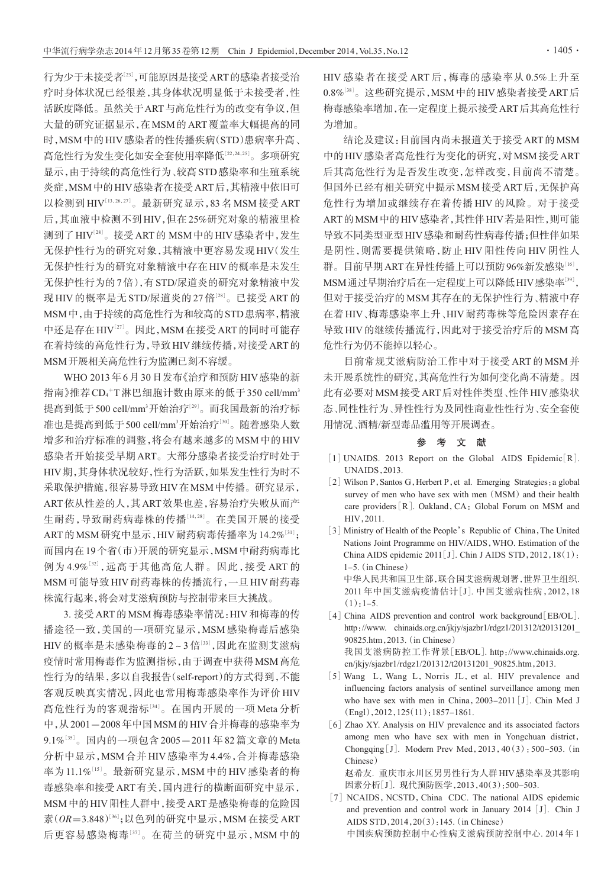行为少于未接受者[<sup>23</sup>] ,可能原因是接受ART的感染者接受治 疗时身体状况已经很差,其身体状况明显低于未接受者,性 活跃度降低。虽然关于ART与高危性行为的改变有争议,但 大量的研究证据显示,在MSM的ART覆盖率大幅提高的同 时,MSM中的HIV感染者的性传播疾病(STD)患病率升高、 高危性行为发生变化如安全套使用率降低[<sup>22</sup>,24,25] 。多项研究 显示,由于持续的高危性行为、较高STD感染率和生殖系统 炎症,MSM中的HIV感染者在接受ART后,其精液中依旧可 以检测到 HIV[13,26,27]。最新研究显示,83 名 MSM 接受 ART 后,其血液中检测不到HIV,但在25%研究对象的精液里检 测到了HIV[28] 。接受ART的 MSM中的HIV感染者中,发生 无保护性行为的研究对象,其精液中更容易发现HIV(发生 无保护性行为的研究对象精液中存在HIV的概率是未发生 无保护性行为的7倍),有STD/尿道炎的研究对象精液中发 现 HIV 的概率是无 STD/尿道炎的 27 倍'<sup>28」</sup>。 已接受 ART 的 MSM中,由于持续的高危性行为和较高的STD患病率,精液 中还是存在HIV $^{\scriptscriptstyle[27]}$ 。因此,MSM 在接受 ART 的同时可能存 在着持续的高危性行为,导致HIV继续传播,对接受ART的 MSM开展相关高危性行为监测已刻不容缓。

WHO 2013年6月30日发布《治疗和预防HIV感染的新 指南》推荐CD4+T淋巴细胞计数由原来的低于350 cell/mm<sup>3</sup> 提高到低于 500 cell/mm<sup>3</sup>开始治疗'<sup>29'</sup>。而我国最新的治疗标 准也是提高到低于 500 cell/mm<sup>3</sup>开始治疗<sup>[30]</sup>。随着感染人数 增多和治疗标准的调整,将会有越来越多的MSM中的HIV 感染者开始接受早期ART。大部分感染者接受治疗时处于 HIV期,其身体状况较好,性行为活跃,如果发生性行为时不 采取保护措施,很容易导致HIV在MSM中传播。研究显示, ART依从性差的人,其ART效果也差,容易治疗失败从而产 生耐药,导致耐药病毒株的传播[<sup>14</sup>,28] 。在美国开展的接受 ART 的 MSM 研究中显示 , HIV 耐药病毒传播率为 14.2%[31] ; 而国内在19个省(市)开展的研究显示,MSM中耐药病毒比 例为 4.9%[<sup>32</sup>],远高于其他高危人群。因此,接受 ART 的 MSM可能导致HIV耐药毒株的传播流行,一旦HIV耐药毒 株流行起来,将会对艾滋病预防与控制带来巨大挑战。

3. 接受ART的MSM梅毒感染率情况:HIV和梅毒的传 播途径一致,美国的一项研究显示,MSM 感染梅毒后感染 HIV 的概率是未感染梅毒的 2 ~ 3 倍[33], 因此在监测艾滋病 疫情时常用梅毒作为监测指标,由于调查中获得MSM高危 性行为的结果,多以自我报告(self-report)的方式得到,不能 客观反映真实情况,因此也常用梅毒感染率作为评价 HIV 高危性行为的客观指标[34]。在国内开展的一项 Meta分析 中,从2001-2008年中国MSM的HIV合并梅毒的感染率为 9.1%[35]。国内的一项包含 2005-2011 年 82 篇文章的 Meta 分析中显示,MSM 合并 HIV 感染率为 4.4%,合并梅毒感染 率为11.1%[15]。最新研究显示, MSM 中的 HIV 感染者的梅 毒感染率和接受ART有关,国内进行的横断面研究中显示, MSM中的HIV阳性人群中,接受ART是感染梅毒的危险因 素(*OR*=3.848)[36];以色列的研究中显示,MSM 在接受 ART 后更容易感染梅毒[<sup>37</sup>] 。在荷兰的研究中显示,MSM 中的

HIV 感染者在接受 ART 后,梅毒的感染率从 0.5%上升至  $0.8\%$ [38]。这些研究提示,MSM中的HIV感染者接受 ART 后 梅毒感染率增加,在一定程度上提示接受ART后其高危性行 为增加。

结论及建议:目前国内尚未报道关于接受ART的MSM 中的HIV感染者高危性行为变化的研究,对MSM接受ART 后其高危性行为是否发生改变,怎样改变,目前尚不清楚。 但国外已经有相关研究中提示MSM接受ART后,无保护高 危性行为增加或继续存在着传播 HIV 的风险。对于接受 ART的MSM中的HIV感染者,其性伴HIV若是阳性,则可能 导致不同类型亚型HIV感染和耐药性病毒传播;但性伴如果 是阴性,则需要提供策略,防止 HIV 阳性传向 HIV 阴性人 群。目前早期 ART 在异性传播上可以预防 96%新发感染"6', MSM通过早期治疗后在一定程度上可以降低HIV感染率<sup>[39]</sup>, 但对于接受治疗的MSM其存在的无保护性行为、精液中存 在着 HIV、梅毒感染率上升、HIV 耐药毒株等危险因素存在 导致HIV的继续传播流行,因此对于接受治疗后的MSM高 危性行为仍不能掉以轻心。

目前常规艾滋病防治工作中对于接受 ART 的 MSM 并 未开展系统性的研究,其高危性行为如何变化尚不清楚。因 此有必要对MSM接受ART后对性伴类型、性伴HIV感染状 态、同性性行为、异性性行为及同性商业性性行为、安全套使 用情况、酒精/新型毒品滥用等开展调查。

## 参 考 文 献

- $\lceil 1 \rceil$  UNAIDS. 2013 Report on the Global AIDS Epidemic $\lceil R \rceil$ . UNAIDS,2013.
- [2] Wilson P, Santos G, Herbert P, et al. Emerging Strategies: a global survey of men who have sex with men (MSM) and their health care providers [R]. Oakland, CA: Global Forum on MSM and HIV,2011.
- [3] Ministry of Health of the People's Republic of China, The United Nations Joint Programme on HIV/AIDS,WHO. Estimation of the China AIDS epidemic 2011[J]. Chin J AIDS STD,2012,18(1):  $1-5$  (in Chinese) 中华人民共和国卫生部,联合国艾滋病规划署,世界卫生组织. 2011 年中国艾滋病疫情估计[J]. 中国艾滋病性病,2012,18  $(1):1-5.$
- [4] China AIDS prevention and control work background [EB/OL]. http://www. chinaids.org.cn/jkjy/sjazbr1/rdgz1/201312/t20131201\_ 90825.htm,2013.(in Chinese) 我国艾滋病防控工作背景[EB/OL]. http://www.chinaids.org. cn/jkjy/sjazbr1/rdgz1/201312/t20131201\_90825.htm,2013.
- [5] Wang L, Wang L, Norris JL, et al. HIV prevalence and influencing factors analysis of sentinel surveillance among men who have sex with men in China, 2003-2011 [J]. Chin Med J (Engl),2012,125(11):1857-1861.
- [6] Zhao XY. Analysis on HIV prevalence and its associated factors among men who have sex with men in Yongchuan district, Chongqing [J]. Modern Prev Med,  $2013$ ,  $40(3)$ : 500-503. (in Chinese) 赵希友. 重庆市永川区男男性行为人群HIV感染率及其影响

因素分析[J]. 现代预防医学,2013,40(3):500-503.

[7] NCAIDS, NCSTD, China CDC. The national AIDS epidemic and prevention and control work in January 2014 [J]. Chin J AIDS STD,2014,20(3):145.(in Chinese) 中国疾病预防控制中心性病艾滋病预防控制中心. 2014 年 1